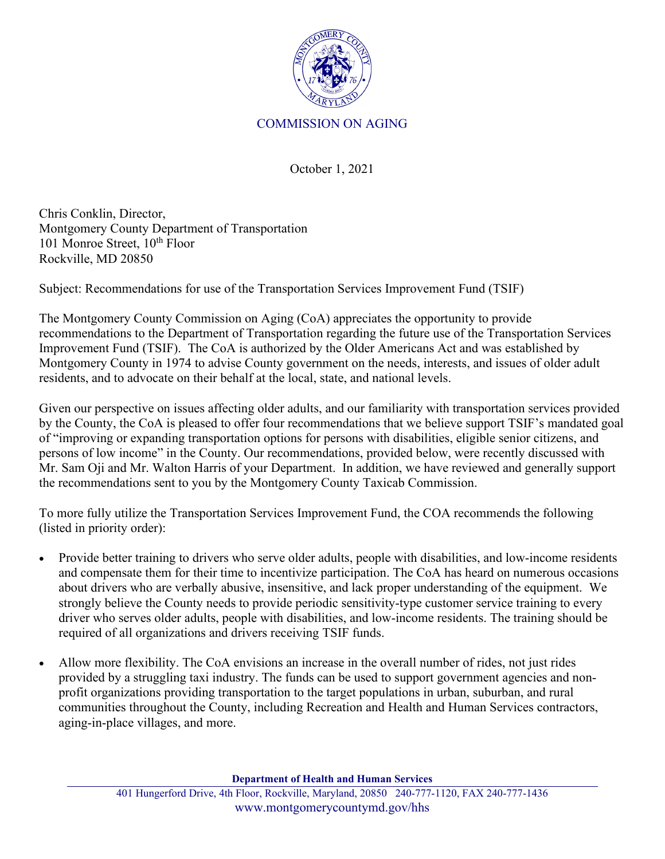

## COMMISSION ON AGING

October 1, 2021

Chris Conklin, Director, Montgomery County Department of Transportation 101 Monroe Street,  $10^{th}$  Floor Rockville, MD 20850

Subject: Recommendations for use of the Transportation Services Improvement Fund (TSIF)

The Montgomery County Commission on Aging (CoA) appreciates the opportunity to provide recommendations to the Department of Transportation regarding the future use of the Transportation Services Improvement Fund (TSIF). The CoA is authorized by the Older Americans Act and was established by Montgomery County in 1974 to advise County government on the needs, interests, and issues of older adult residents, and to advocate on their behalf at the local, state, and national levels.

Given our perspective on issues affecting older adults, and our familiarity with transportation services provided by the County, the CoA is pleased to offer four recommendations that we believe support TSIF's mandated goal of "improving or expanding transportation options for persons with disabilities, eligible senior citizens, and persons of low income" in the County. Our recommendations, provided below, were recently discussed with Mr. Sam Oji and Mr. Walton Harris of your Department. In addition, we have reviewed and generally support the recommendations sent to you by the Montgomery County Taxicab Commission.

To more fully utilize the Transportation Services Improvement Fund, the COA recommends the following (listed in priority order):

- Provide better training to drivers who serve older adults, people with disabilities, and low-income residents and compensate them for their time to incentivize participation. The CoA has heard on numerous occasions about drivers who are verbally abusive, insensitive, and lack proper understanding of the equipment. We strongly believe the County needs to provide periodic sensitivity-type customer service training to every driver who serves older adults, people with disabilities, and low-income residents. The training should be required of all organizations and drivers receiving TSIF funds.
- Allow more flexibility. The CoA envisions an increase in the overall number of rides, not just rides provided by a struggling taxi industry. The funds can be used to support government agencies and nonprofit organizations providing transportation to the target populations in urban, suburban, and rural communities throughout the County, including Recreation and Health and Human Services contractors, aging-in-place villages, and more.

**Department of Health and Human Services**